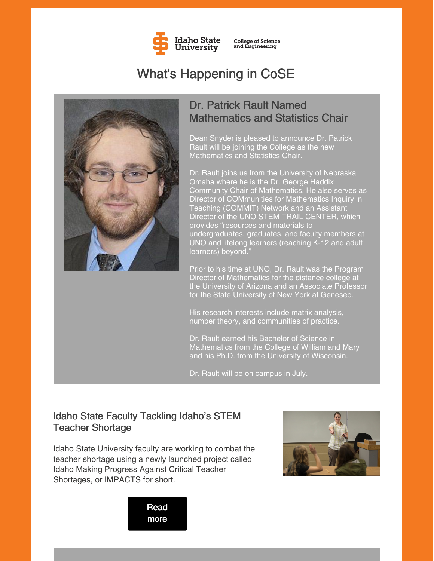

**College of Science** and Engineering

# What's Happening in CoSE



# Dr. Patrick Rault Named Mathematics and Statistics Chair

Dean Snyder is pleased to announce Dr. Patrick Rault will be joining the College as the new Mathematics and Statistics Chair.

Dr. Rault joins us from the University of Nebraska Omaha where he is the Dr. George Haddix Community Chair of Mathematics. He also serves as Director of COMmunities for Mathematics Inquiry in Teaching (COMMIT) Network and an Assistant Director of the UNO STEM TRAIL CENTER, which provides "resources and materials to undergraduates, graduates, and faculty members at UNO and lifelong learners (reaching K-12 and adult learners) beyond."

Prior to his time at UNO, Dr. Rault was the Program Director of Mathematics for the distance college at the University of Arizona and an Associate Professor for the State University of New York at Geneseo.

His research interests include matrix analysis, number theory, and communities of practice.

Dr. Rault earned his Bachelor of Science in Mathematics from the College of William and Mary and his Ph.D. from the University of Wisconsin.

Dr. Rault will be on campus in July.

### Idaho State Faculty Tackling Idaho's STEM Teacher Shortage

Idaho State University faculty are working to combat the teacher shortage using a newly launched project called Idaho Making Progress Against Critical Teacher Shortages, or IMPACTS for short.



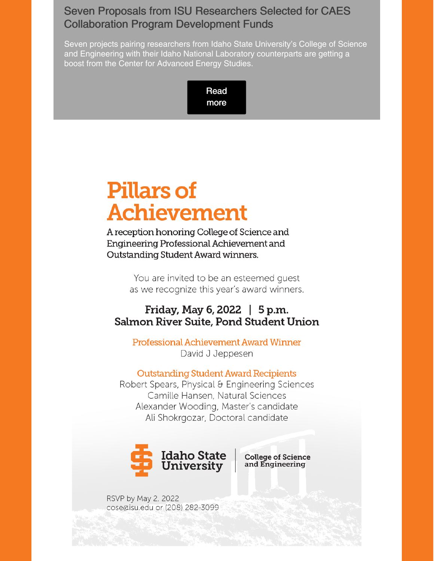## Seven Proposals from ISU Researchers Selected for CAES Collaboration Program Development Funds

Seven projects pairing researchers from Idaho State University's College of Science and Engineering with their Idaho National Laboratory counterparts are getting a boost from the Center for Advanced Energy Studies.

> [Read](https://www.isu.edu/news/2022-spring/seven-proposals-from-isu-researchers-selected-for-caes-collaboration-program-development-funds.html) more

# **Pillars of Achievement**

A reception honoring College of Science and Engineering Professional Achievement and Outstanding Student Award winners.

> You are invited to be an esteemed quest as we recognize this year's award winners.

### Friday, May 6, 2022 | 5 p.m. Salmon River Suite, Pond Student Union

Professional Achievement Award Winner David J Jeppesen

#### **Outstanding Student Award Recipients**

Robert Spears, Physical & Engineering Sciences Camille Hansen, Natural Sciences Alexander Wooding, Master's candidate Ali Shokrgozar, Doctoral candidate



**College of Science** and Engineering

RSVP by May 2, 2022 cose@isu.edu or (208) 282-3099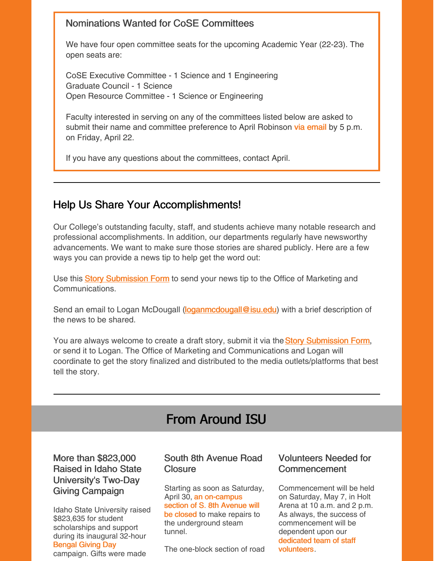#### Nominations Wanted for CoSE Committees

We have four open committee seats for the upcoming Academic Year (22-23). The open seats are:

CoSE Executive Committee - 1 Science and 1 Engineering Graduate Council - 1 Science Open Resource Committee - 1 Science or Engineering

Faculty interested in serving on any of the committees listed below are asked to submit their name and committee preference to April Robinson via [email](mailto:aprilrobinson@isu.edu) by 5 p.m. on Friday, April 22.

If you have any questions about the committees, contact April.

### Help Us Share Your Accomplishments!

Our College's outstanding faculty, staff, and students achieve many notable research and professional accomplishments. In addition, our departments regularly have newsworthy advancements. We want to make sure those stories are shared publicly. Here are a few ways you can provide a news tip to help get the word out:

U[s](https://www.isu.edu/news/story-form/)e this **Story [Submission](https://www.isu.edu/news/story-form/) Form** to send your news tip to the Office of Marketing and Communications.

Send an email to Logan McDougall [\(loganmcdougall@isu.edu](mailto:loganmcdougall@isu.edu)) with a brief description of the news to be shared.

You ar[e](https://www.isu.edu/news/story-form/) always welcome to create a draft story, submit it via the **Story [Submission](https://www.isu.edu/news/story-form/) Form**, or send it to Logan. The Office of Marketing and Communications and Logan will coordinate to get the story finalized and distributed to the media outlets/platforms that best tell the story.

# From Around ISU

#### More than \$823,000 Raised in Idaho State University's Two-Day Giving Campaign

Idaho State University raised \$823,635 for student scholarships and support during its inaugural 32-hour [Bengal](https://www.isu.edu/news/2022-spring/more-than-823000-raised-in-idaho-state-universitys-two-day-giving-campaign.html) Giving Day campaign. Gifts were made

#### South 8th Avenue Road **Closure**

Starting as soon as Saturday, April 30, an [on-campus](https://www.isu.edu/news/2022-spring/south-8th-avenue-road-closure.html) section of S. 8th Avenue will be closed to make repairs to the underground steam tunnel.

The one-block section of road

#### Volunteers Needed for Commencement

Commencement will be held on Saturday, May 7, in Holt Arena at 10 a.m. and 2 p.m. As always, the success of commencement will be dependent upon our [dedicated](https://www.isu.edu/news/2022-spring/volunteers-needed-for-commencement.html) team of staff volunteers.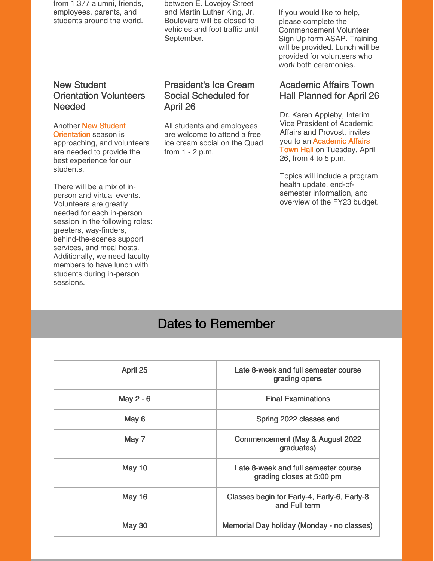from 1,377 alumni, friends, employees, parents, and students around the world.

between E. Lovejoy Street and Martin Luther King, Jr. Boulevard will be closed to vehicles and foot traffic until September.

#### New Student Orientation Volunteers **Needed**

#### Another New Student

**[Orientation](https://myemail.constantcontact.com/New-Student-Orientation-Volunteers-Needed.html?soid=1127399030149&aid=31KxlCsnwk8)** season is approaching, and volunteers are needed to provide the best experience for our students.

There will be a mix of inperson and virtual events. Volunteers are greatly needed for each in-person session in the following roles: greeters, way-finders, behind-the-scenes support services, and meal hosts. Additionally, we need faculty members to have lunch with students during in-person sessions.

#### President's Ice Cream Social Scheduled for April 26

All students and employees are welcome to attend a free ice cream social on the Quad from 1 - 2 p.m.

If you would like to help, please complete the Commencement Volunteer Sign Up form ASAP. Training will be provided. Lunch will be provided for volunteers who work both ceremonies.

#### Academic Affairs Town Hall Planned for April 26

Dr. Karen Appleby, Interim Vice President of Academic Affairs and Provost, invites you to an [Academic](https://myemail.constantcontact.com/Academic-Affairs-Town-Hall--April-2022.html?soid=1127399030149&aid=fTHr5UBD_ak) Affairs Town Hall on Tuesday, April 26, from 4 to 5 p.m.

Topics will include a program health update, end-ofsemester information, and overview of the FY23 budget.

# Dates to Remember

| April 25<br>Late 8-week and full semester course<br>grading opens<br><b>Final Examinations</b><br>May 2 - 6<br>May 6<br>Spring 2022 classes end<br>May 7<br>Commencement (May & August 2022)<br>graduates)<br>May 10<br>Late 8-week and full semester course<br>grading closes at 5:00 pm<br><b>May 16</b><br>Classes begin for Early-4, Early-6, Early-8<br>and Full term<br><b>May 30</b><br>Memorial Day holiday (Monday - no classes) |  |
|-------------------------------------------------------------------------------------------------------------------------------------------------------------------------------------------------------------------------------------------------------------------------------------------------------------------------------------------------------------------------------------------------------------------------------------------|--|
|                                                                                                                                                                                                                                                                                                                                                                                                                                           |  |
|                                                                                                                                                                                                                                                                                                                                                                                                                                           |  |
|                                                                                                                                                                                                                                                                                                                                                                                                                                           |  |
|                                                                                                                                                                                                                                                                                                                                                                                                                                           |  |
|                                                                                                                                                                                                                                                                                                                                                                                                                                           |  |
|                                                                                                                                                                                                                                                                                                                                                                                                                                           |  |
|                                                                                                                                                                                                                                                                                                                                                                                                                                           |  |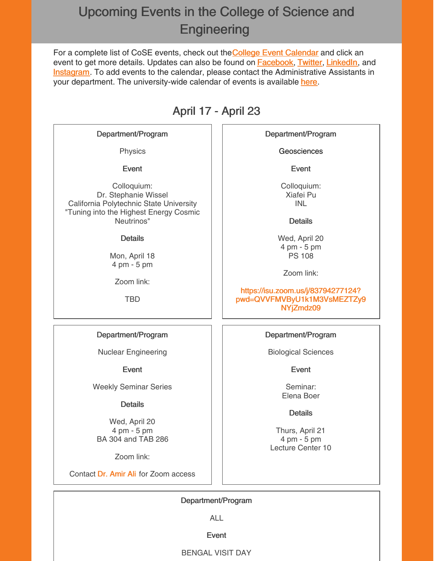# Upcoming Events in the College of Science and **Engineering**

For a compl[e](https://isu.edu/cse/calendar/)te list of CoSE events, check out the College Event [Calendar](https://isu.edu/cse/calendar/) and click an event to get more details. Updates can also be found on [Facebook](https://www.facebook.com/IdahoStateUCoSE), [Twitter](https://twitter.com/IdahoStateUCoSE), [LinkedIn](https://www.linkedin.com/company/idaho-state-university-college-of-science-and-engineering), and **[Instagram](https://www.instagram.com/idahostateucose/)**. To add events to the calendar, please contact the Administrative Assistants in your department. The university-wide calendar of events is available [here](https://www.isu.edu/calendar/).

# April 17 - April 23

#### Department/Program

Physics

Event

Colloquium: Dr. Stephanie Wissel California Polytechnic State University "Tuning into the Highest Energy Cosmic Neutrinos"

#### **Details**

Mon, April 18 4 pm - 5 pm

Zoom link:

TBD

Department/Program

Nuclear Engineering

Event

Weekly Seminar Series

#### **Details**

Wed, April 20 4 pm - 5 pm BA 304 and TAB 286

Zoom link:

Contact Dr. [Amir](mailto:aliamir@isu.edu) Ali for Zoom access

Department/Program

**Geosciences** 

Event

Colloquium: Xiafei Pu INL

**Details** 

Wed, April 20 4 pm - 5 pm PS 108

Zoom link:

https://isu.zoom.us/j/83794277124? [pwd=QVVFMVByU1k1M3VsMEZTZy9](https://isu.zoom.us/j/83794277124?pwd=QVVFMVByU1k1M3VsMEZTZy9NYjZmdz09) NYjZmdz09

#### Department/Program

Biological Sciences

Event

Seminar: Elena Boer

**Details** 

Thurs, April 21 4 pm - 5 pm Lecture Center 10

Department/Program

ALL

Event

BENGAL VISIT DAY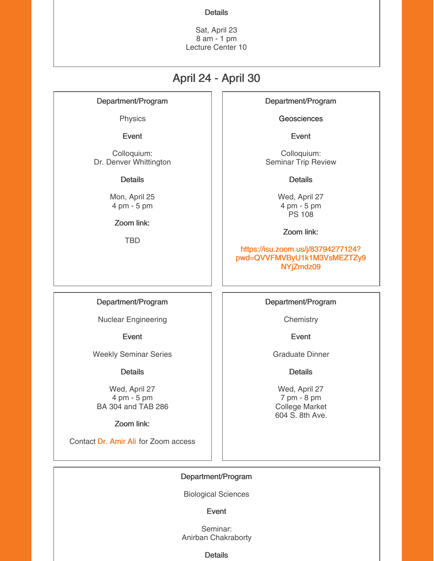#### **Details**

Sat, April 23 8 am - 1 pm Lecture Center 10

## April 24 - April 30

Department/Program

Physics

Event

Colloquium: Dr. Denver Whittington

**Details** 

Mon, April 25 4 pm - 5 pm

Zoom link:

TBD

Department/Program

**Geosciences** 

Event

Colloquium: Seminar Trip Review

**Details** 

Wed, April 27 4 pm - 5 pm PS 108

Zoom link:

https://isu.zoom.us/j/83794277124? [pwd=QVVFMVByU1k1M3VsMEZTZy9](https://isu.zoom.us/j/83794277124?pwd=QVVFMVByU1k1M3VsMEZTZy9NYjZmdz09) NYjZmdz09

#### Department/Program

Nuclear Engineering

Event

Weekly Seminar Series

Details

Wed, April 27 4 pm - 5 pm BA 304 and TAB 286

Zoom link:

Contact Dr. [Amir](mailto:aliamir@isu.edu) Ali for Zoom access

Department/Program

**Chemistry** 

Event

Graduate Dinner

**Details** 

Wed, April 27 7 pm - 8 pm College Market 604 S. 8th Ave.

Department/Program

Biological Sciences

Event

Seminar: Anirban Chakraborty

**Details**